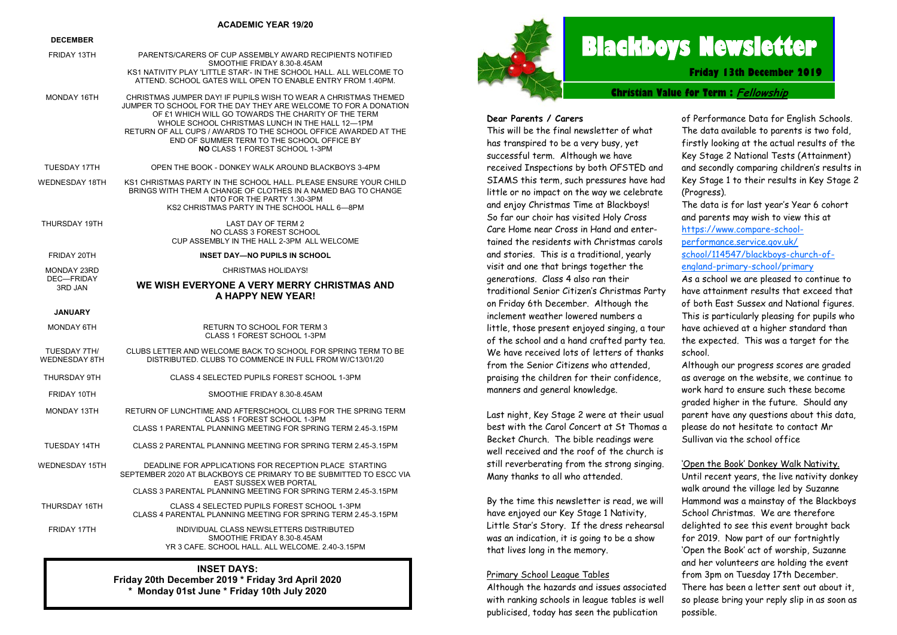#### **ACADEMIC YEAR 19/20**

#### **DECEMBER**

| FRIDAY 13TH                          | PARENTS/CARERS OF CUP ASSEMBLY AWARD RECIPIENTS NOTIFIED<br>SMOOTHIE FRIDAY 8.30-8.45AM<br>KS1 NATIVITY PLAY 'LITTLE STAR'- IN THE SCHOOL HALL, ALL WELCOME TO                                                                                                                                                                                                                                         |
|--------------------------------------|--------------------------------------------------------------------------------------------------------------------------------------------------------------------------------------------------------------------------------------------------------------------------------------------------------------------------------------------------------------------------------------------------------|
|                                      | ATTEND. SCHOOL GATES WILL OPEN TO ENABLE ENTRY FROM 1.40PM.                                                                                                                                                                                                                                                                                                                                            |
| MONDAY 16TH                          | CHRISTMAS JUMPER DAY! IF PUPILS WISH TO WEAR A CHRISTMAS THEMED<br>JUMPER TO SCHOOL FOR THE DAY THEY ARE WELCOME TO FOR A DONATION<br>OF £1 WHICH WILL GO TOWARDS THE CHARITY OF THE TERM<br>WHOLE SCHOOL CHRISTMAS LUNCH IN THE HALL 12-1PM<br>RETURN OF ALL CUPS / AWARDS TO THE SCHOOL OFFICE AWARDED AT THE<br>END OF SUMMER TERM TO THE SCHOOL OFFICE BY<br><b>NO CLASS 1 FOREST SCHOOL 1-3PM</b> |
| <b>TUESDAY 17TH</b>                  | OPEN THE BOOK - DONKEY WALK AROUND BLACKBOYS 3-4PM                                                                                                                                                                                                                                                                                                                                                     |
| WEDNESDAY 18TH                       | KS1 CHRISTMAS PARTY IN THE SCHOOL HALL. PLEASE ENSURE YOUR CHILD<br>BRINGS WITH THEM A CHANGE OF CLOTHES IN A NAMED BAG TO CHANGE<br>INTO FOR THE PARTY 1.30-3PM<br>KS2 CHRISTMAS PARTY IN THE SCHOOL HALL 6-8PM                                                                                                                                                                                       |
| THURSDAY 19TH                        | <b>LAST DAY OF TERM 2</b><br>NO CLASS 3 FOREST SCHOOL<br>CUP ASSEMBLY IN THE HALL 2-3PM ALL WELCOME                                                                                                                                                                                                                                                                                                    |
| FRIDAY 20TH                          | <b>INSET DAY-NO PUPILS IN SCHOOL</b>                                                                                                                                                                                                                                                                                                                                                                   |
| <b>MONDAY 23RD</b>                   | <b>CHRISTMAS HOLIDAYS!</b>                                                                                                                                                                                                                                                                                                                                                                             |
| DEC-FRIDAY<br>3RD JAN                | WE WISH EVERYONE A VERY MERRY CHRISTMAS AND<br>A HAPPY NEW YEAR!                                                                                                                                                                                                                                                                                                                                       |
| <b>JANUARY</b>                       |                                                                                                                                                                                                                                                                                                                                                                                                        |
| MONDAY 6TH                           | RETURN TO SCHOOL FOR TERM 3<br>CLASS 1 FOREST SCHOOL 1-3PM                                                                                                                                                                                                                                                                                                                                             |
| TUESDAY 7TH/<br><b>WEDNESDAY 8TH</b> | CLUBS LETTER AND WELCOME BACK TO SCHOOL FOR SPRING TERM TO BE<br>DISTRIBUTED. CLUBS TO COMMENCE IN FULL FROM W/C13/01/20                                                                                                                                                                                                                                                                               |
| THURSDAY 9TH                         | CLASS 4 SELECTED PUPILS FOREST SCHOOL 1-3PM                                                                                                                                                                                                                                                                                                                                                            |
| FRIDAY 10TH                          | SMOOTHIE FRIDAY 8.30-8.45AM                                                                                                                                                                                                                                                                                                                                                                            |
| <b>MONDAY 13TH</b>                   | RETURN OF LUNCHTIME AND AFTERSCHOOL CLUBS FOR THE SPRING TERM<br>CLASS 1 FOREST SCHOOL 1-3PM<br>CLASS 1 PARENTAL PLANNING MEETING FOR SPRING TERM 2.45-3.15PM                                                                                                                                                                                                                                          |
| TUESDAY 14TH                         | CLASS 2 PARENTAL PLANNING MEETING FOR SPRING TERM 2.45-3.15PM                                                                                                                                                                                                                                                                                                                                          |
| WEDNESDAY 15TH                       | DEADLINE FOR APPLICATIONS FOR RECEPTION PLACE STARTING<br>SEPTEMBER 2020 AT BLACKBOYS CE PRIMARY TO BE SUBMITTED TO ESCC VIA<br><b>EAST SUSSEX WEB PORTAL</b>                                                                                                                                                                                                                                          |
|                                      | CLASS 3 PARENTAL PLANNING MEETING FOR SPRING TERM 2.45-3.15PM                                                                                                                                                                                                                                                                                                                                          |
| THURSDAY 16TH                        | CLASS 4 SELECTED PUPILS FOREST SCHOOL 1-3PM<br>CLASS 4 PARENTAL PLANNING MEETING FOR SPRING TERM 2.45-3.15PM                                                                                                                                                                                                                                                                                           |
| FRIDAY 17TH                          | INDIVIDUAL CLASS NEWSLETTERS DISTRIBUTED<br>SMOOTHIE FRIDAY 8.30-8.45AM<br>YR 3 CAFE. SCHOOL HALL. ALL WELCOME. 2.40-3.15PM                                                                                                                                                                                                                                                                            |
|                                      | INICET DAVO.                                                                                                                                                                                                                                                                                                                                                                                           |

**INSET DAYS: Friday 20th December 2019 \* Friday 3rd April 2020 \* Monday 01st June \* Friday 10th July 2020**



# **Blackboys Newsletter**

**Friday 13th December 2019**

#### **Christian Value for Term : Fellowship**

#### **Dear Parents / Carers**

This will be the final newsletter of what has transpired to be a very busy, yet successful term. Although we have received Inspections by both OFSTED and SIAMS this term, such pressures have had little or no impact on the way we celebrate and enjoy Christmas Time at Blackboys! So far our choir has visited Holy Cross Care Home near Cross in Hand and entertained the residents with Christmas carols and stories. This is a traditional, yearly visit and one that brings together the generations. Class 4 also ran their traditional Senior Citizen's Christmas Party on Friday 6th December. Although the inclement weather lowered numbers a little, those present enjoyed singing, a tour of the school and a hand crafted party tea. We have received lots of letters of thanks from the Senior Citizens who attended, praising the children for their confidence, manners and general knowledge.

Last night, Key Stage 2 were at their usual best with the Carol Concert at St Thomas a Becket Church. The bible readings were well received and the roof of the church is still reverberating from the strong singing. Many thanks to all who attended.

By the time this newsletter is read, we will have enjoyed our Key Stage 1 Nativity, Little Star's Story. If the dress rehearsal was an indication, it is going to be a show that lives long in the memory.

#### Primary School League Tables

Although the hazards and issues associated with ranking schools in league tables is well publicised, today has seen the publication

of Performance Data for English Schools. The data available to parents is two fold, firstly looking at the actual results of the Key Stage 2 National Tests (Attainment) and secondly comparing children's results in Key Stage 1 to their results in Key Stage 2 (Progress).

The data is for last year's Year 6 cohort and parents may wish to view this at [https://www.compare-school](https://www.compare-school-performance.service.gov.uk/school/114547/blackboys-church-of-england-primary-school/primary)[performance.service.gov.uk/](https://www.compare-school-performance.service.gov.uk/school/114547/blackboys-church-of-england-primary-school/primary)

[school/114547/blackboys-church-of](https://www.compare-school-performance.service.gov.uk/school/114547/blackboys-church-of-england-primary-school/primary)[england-primary-school/primary](https://www.compare-school-performance.service.gov.uk/school/114547/blackboys-church-of-england-primary-school/primary) 

As a school we are pleased to continue to have attainment results that exceed that of both East Sussex and National figures. This is particularly pleasing for pupils who have achieved at a higher standard than the expected. This was a target for the school.

Although our progress scores are graded as average on the website, we continue to work hard to ensure such these become graded higher in the future. Should any parent have any questions about this data, please do not hesitate to contact Mr Sullivan via the school office

#### 'Open the Book' Donkey Walk Nativity.

Until recent years, the live nativity donkey walk around the village led by Suzanne Hammond was a mainstay of the Blackboys School Christmas. We are therefore delighted to see this event brought back for 2019. Now part of our fortnightly 'Open the Book' act of worship, Suzanne and her volunteers are holding the event from 3pm on Tuesday 17th December. There has been a letter sent out about it, so please bring your reply slip in as soon as possible.